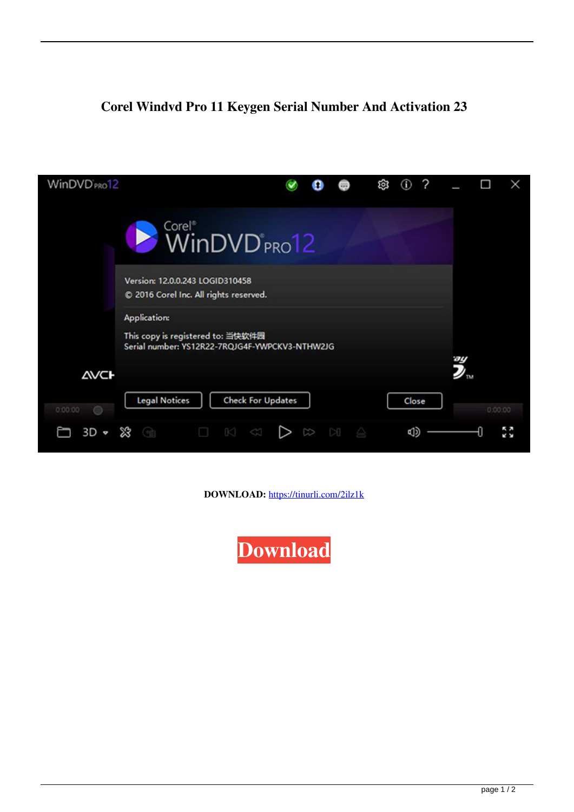## Corel Windvd Pro 11 Keygen Serial Number And Activation 23

| WinDVD <sup>PRO12</sup> |                                                                                                            |                              |                   |                   | ?<br>慾<br>⊕ |           |
|-------------------------|------------------------------------------------------------------------------------------------------------|------------------------------|-------------------|-------------------|-------------|-----------|
|                         | Core <sup>®</sup>                                                                                          | WinDVD <sup>PRO12</sup>      |                   |                   |             |           |
|                         | Version: 12.0.0.243 LOGID310458<br>2016 Corel Inc. All rights reserved.                                    |                              |                   |                   |             |           |
|                         | <b>Application:</b><br>This copy is registered to: 当快软件园<br>Serial number: YS12R22-7RQJG4F-YWPCKV3-NTHW2JG |                              |                   |                   |             |           |
| <b>AVCH</b>             |                                                                                                            |                              |                   |                   |             |           |
| 0.00.00<br>⊜            | <b>Legal Notices</b>                                                                                       | <b>Check For Updates</b>     |                   |                   | Close       | 0.00.00   |
| $3D -$                  | X<br>GÈ.<br>ш                                                                                              | $\mathbb{R}$<br>$\mathbb{R}$ | ▷<br>$\heartsuit$ | D0<br>$\triangle$ | CD          | K.<br>V V |

DOWNLOAD: https://tinurli.com/2ilz1k